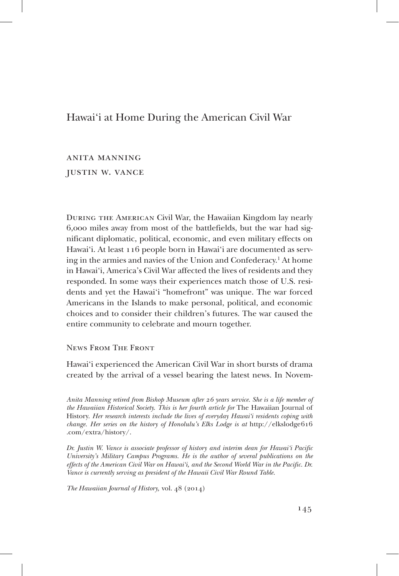# Hawai'i at Home During the American Civil War

anita manning justin w. vance

During the American Civil War, the Hawaiian Kingdom lay nearly 6,000 miles away from most of the battlefields, but the war had significant diplomatic, political, economic, and even military effects on Hawai'i. At least 116 people born in Hawai'i are documented as serving in the armies and navies of the Union and Confederacy.1 At home in Hawai'i, America's Civil War affected the lives of residents and they responded. In some ways their experiences match those of U.S. residents and yet the Hawai'i "homefront" was unique. The war forced Americans in the Islands to make personal, political, and economic choices and to consider their children's futures. The war caused the entire community to celebrate and mourn together.

News From The Front

Hawai'i experienced the American Civil War in short bursts of drama created by the arrival of a vessel bearing the latest news. In Novem-

*Anita Manning retired from Bishop Museum after 26 years service. She is a life member of the Hawaiian Historical Society. This is her fourth article for* The Hawaiian Journal of History. *Her research interests include the lives of everyday Hawai'i residents coping with change. Her series on the history of Honolulu's Elks Lodge is at* http://elkslodge616 .com/extra/history/.

*Dr. Justin W. Vance is associate professor of history and interim dean for Hawai'i Pacific University's Military Campus Programs. He is the author of several publications on the effects of the American Civil War on Hawai'i, and the Second World War in the Pacific. Dr. Vance is currently serving as president of the Hawaii Civil War Round Table.*

*The Hawaiian Journal of History,* vol. 48 (2014)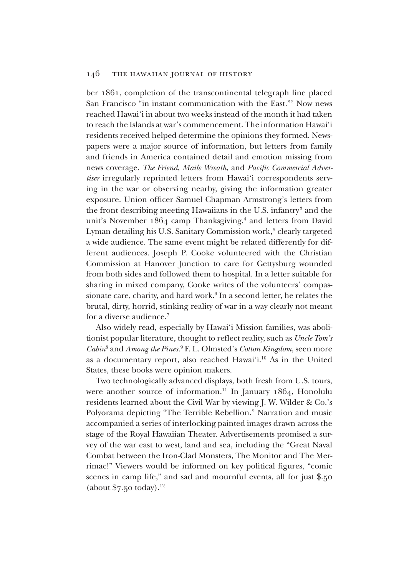ber 1861, completion of the transcontinental telegraph line placed San Francisco "in instant communication with the East."2 Now news reached Hawai'i in about two weeks instead of the month it had taken to reach the Islands at war's commencement. The information Hawai'i residents received helped determine the opinions they formed. Newspapers were a major source of information, but letters from family and friends in America contained detail and emotion missing from news coverage. *The Friend*, *Maile Wreath*, and *Pacific Commercial Advertiser* irregularly reprinted letters from Hawai'i correspondents serving in the war or observing nearby, giving the information greater exposure. Union officer Samuel Chapman Armstrong's letters from the front describing meeting Hawaiians in the U.S. infantry<sup>3</sup> and the unit's November 1864 camp Thanksgiving,<sup>4</sup> and letters from David Lyman detailing his U.S. Sanitary Commission work,<sup>5</sup> clearly targeted a wide audience. The same event might be related differently for different audiences. Joseph P. Cooke volunteered with the Christian Commission at Hanover Junction to care for Gettysburg wounded from both sides and followed them to hospital. In a letter suitable for sharing in mixed company, Cooke writes of the volunteers' compassionate care, charity, and hard work.<sup>6</sup> In a second letter, he relates the brutal, dirty, horrid, stinking reality of war in a way clearly not meant for a diverse audience.7

Also widely read, especially by Hawai'i Mission families, was abolitionist popular literature, thought to reflect reality, such as *Uncle Tom's Cabin*<sup>8</sup> and *Among the Pines.*<sup>9</sup> F. L. Olmsted's *Cotton Kingdom*, seen more as a documentary report, also reached Hawai'i.10 As in the United States, these books were opinion makers.

Two technologically advanced displays, both fresh from U.S. tours, were another source of information.<sup>11</sup> In January 1864, Honolulu residents learned about the Civil War by viewing J. W. Wilder & Co.'s Polyorama depicting "The Terrible Rebellion." Narration and music accompanied a series of interlocking painted images drawn across the stage of the Royal Hawaiian Theater. Advertisements promised a survey of the war east to west, land and sea, including the "Great Naval Combat between the Iron-Clad Monsters, The Monitor and The Merrimac!" Viewers would be informed on key political figures, "comic scenes in camp life," and sad and mournful events, all for just \$.50 (about  $$7.50$  today).<sup>12</sup>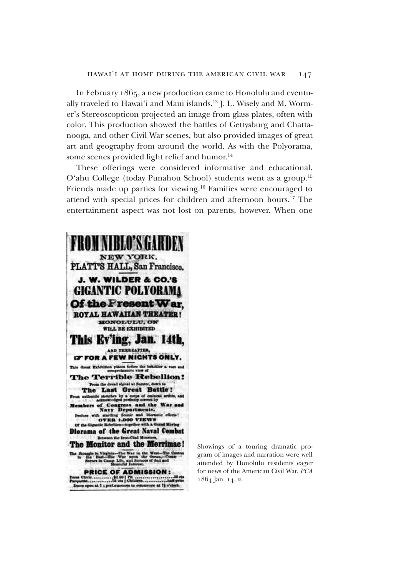#### hawai'i at home during the american civil war 147

In February 1865, a new production came to Honolulu and eventually traveled to Hawai'i and Maui islands.<sup>13</sup> J. L. Wisely and M. Wormer's Stereoscopticon projected an image from glass plates, often with color. This production showed the battles of Gettysburg and Chattanooga, and other Civil War scenes, but also provided images of great art and geography from around the world. As with the Polyorama, some scenes provided light relief and humor.<sup>14</sup>

These offerings were considered informative and educational. O'ahu College (today Punahou School) students went as a group.15 Friends made up parties for viewing.16 Families were encouraged to attend with special prices for children and afternoon hours.17 The entertainment aspect was not lost on parents, however. When one



Showings of a touring dramatic program of images and narration were well attended by Honolulu residents eager for news of the American Civil War. *PCA* 1864 Jan. 14, 2.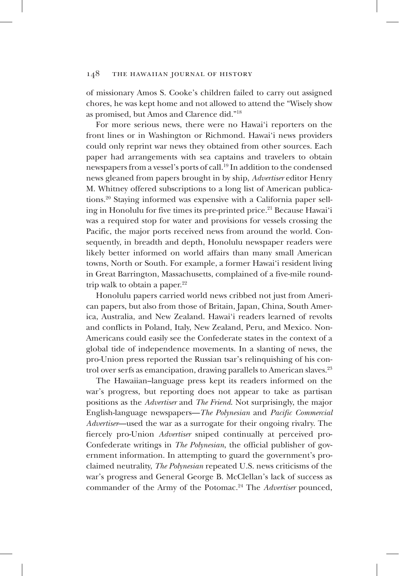of missionary Amos S. Cooke's children failed to carry out assigned chores, he was kept home and not allowed to attend the "Wisely show as promised, but Amos and Clarence did."18

For more serious news, there were no Hawai'i reporters on the front lines or in Washington or Richmond. Hawai'i news providers could only reprint war news they obtained from other sources. Each paper had arrangements with sea captains and travelers to obtain newspapers from a vessel's ports of call.19 In addition to the condensed news gleaned from papers brought in by ship, *Advertiser* editor Henry M. Whitney offered subscriptions to a long list of American publications.20 Staying informed was expensive with a California paper selling in Honolulu for five times its pre-printed price.<sup>21</sup> Because Hawai'i was a required stop for water and provisions for vessels crossing the Pacific, the major ports received news from around the world. Consequently, in breadth and depth, Honolulu newspaper readers were likely better informed on world affairs than many small American towns, North or South. For example, a former Hawai'i resident living in Great Barrington, Massachusetts, complained of a five-mile roundtrip walk to obtain a paper. $22$ 

Honolulu papers carried world news cribbed not just from American papers, but also from those of Britain, Japan, China, South America, Australia, and New Zealand. Hawai'i readers learned of revolts and conflicts in Poland, Italy, New Zealand, Peru, and Mexico. Non-Americans could easily see the Confederate states in the context of a global tide of independence movements. In a slanting of news, the pro-Union press reported the Russian tsar's relinquishing of his control over serfs as emancipation, drawing parallels to American slaves.<sup>23</sup>

The Hawaiian–language press kept its readers informed on the war's progress, but reporting does not appear to take as partisan positions as the *Advertiser* and *The Friend*. Not surprisingly, the major English-language newspapers—*The Polynesian* and *Pacific Commercial Advertiser*—used the war as a surrogate for their ongoing rivalry. The fiercely pro-Union *Advertiser* sniped continually at perceived pro-Confederate writings in *The Polynesian*, the official publisher of government information. In attempting to guard the government's proclaimed neutrality, *The Polynesian* repeated U.S. news criticisms of the war's progress and General George B. McClellan's lack of success as commander of the Army of the Potomac.24 The *Advertiser* pounced,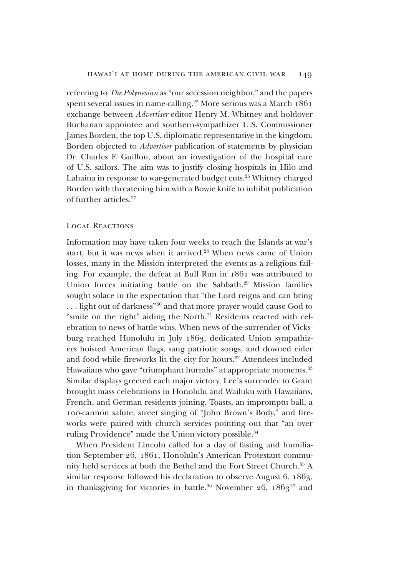referring to *The Polynesian* as "our secession neighbor," and the papers spent several issues in name-calling.<sup>25</sup> More serious was a March  $1861$ exchange between *Advertiser* editor Henry M. Whitney and holdover Buchanan appointee and southern-sympathizer U.S. Commissioner James Borden, the top U.S. diplomatic representative in the kingdom. Borden objected to *Advertiser* publication of statements by physician Dr. Charles F. Guillou, about an investigation of the hospital care of U.S. sailors. The aim was to justify closing hospitals in Hilo and Lahaina in response to war-generated budget cuts.26 Whitney charged Borden with threatening him with a Bowie knife to inhibit publication of further articles.27

### Local Reactions

Information may have taken four weeks to reach the Islands at war's start, but it was news when it arrived.<sup>28</sup> When news came of Union losses, many in the Mission interpreted the events as a religious failing. For example, the defeat at Bull Run in 1861 was attributed to Union forces initiating battle on the Sabbath.<sup>29</sup> Mission families sought solace in the expectation that "the Lord reigns and can bring ... light out of darkness"<sup>30</sup> and that more prayer would cause God to "smile on the right" aiding the North.<sup>31</sup> Residents reacted with celebration to news of battle wins. When news of the surrender of Vicksburg reached Honolulu in July 1863, dedicated Union sympathizers hoisted American flags, sang patriotic songs, and downed cider and food while fireworks lit the city for hours.<sup>32</sup> Attendees included Hawaiians who gave "triumphant hurrahs" at appropriate moments.<sup>33</sup> Similar displays greeted each major victory. Lee's surrender to Grant brought mass celebrations in Honolulu and Wailuku with Hawaiians, French, and German residents joining. Toasts, an impromptu ball, a 100-cannon salute, street singing of "John Brown's Body," and fireworks were paired with church services pointing out that "an over ruling Providence" made the Union victory possible.<sup>34</sup>

When President Lincoln called for a day of fasting and humiliation September 26, 1861, Honolulu's American Protestant community held services at both the Bethel and the Fort Street Church.35 A similar response followed his declaration to observe August 6, 1863, in thanksgiving for victories in battle.<sup>36</sup> November 26,  $1863^{37}$  and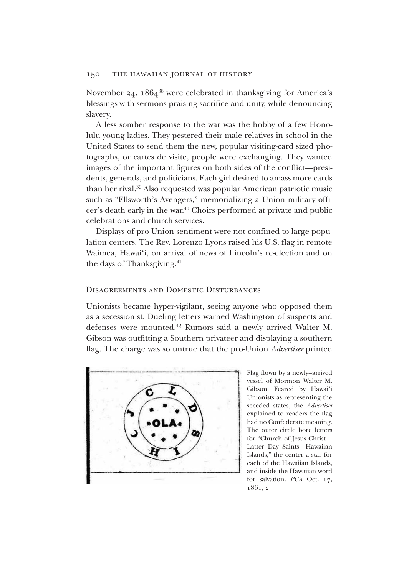November 24,  $1864^{38}$  were celebrated in thanksgiving for America's blessings with sermons praising sacrifice and unity, while denouncing slavery.

A less somber response to the war was the hobby of a few Honolulu young ladies. They pestered their male relatives in school in the United States to send them the new, popular visiting-card sized photographs, or cartes de visite, people were exchanging. They wanted images of the important figures on both sides of the conflict—presidents, generals, and politicians. Each girl desired to amass more cards than her rival.39 Also requested was popular American patriotic music such as "Ellsworth's Avengers," memorializing a Union military officer's death early in the war.40 Choirs performed at private and public celebrations and church services.

Displays of pro-Union sentiment were not confined to large population centers. The Rev. Lorenzo Lyons raised his U.S. flag in remote Waimea, Hawai'i, on arrival of news of Lincoln's re-election and on the days of Thanksgiving.<sup>41</sup>

#### Disagreements and Domestic Disturbances

Unionists became hyper-vigilant, seeing anyone who opposed them as a secessionist. Dueling letters warned Washington of suspects and defenses were mounted.42 Rumors said a newly–arrived Walter M. Gibson was outfitting a Southern privateer and displaying a southern flag. The charge was so untrue that the pro-Union *Advertiser* printed



Flag flown by a newly–arrived vessel of Mormon Walter M. Gibson. Feared by Hawai'i Unionists as representing the seceded states, the *Advertiser* explained to readers the flag had no Confederate meaning. The outer circle bore letters for "Church of Jesus Christ— Latter Day Saints—Hawaiian Islands," the center a star for each of the Hawaiian Islands, and inside the Hawaiian word for salvation. *PCA* Oct. 17, 1861, 2.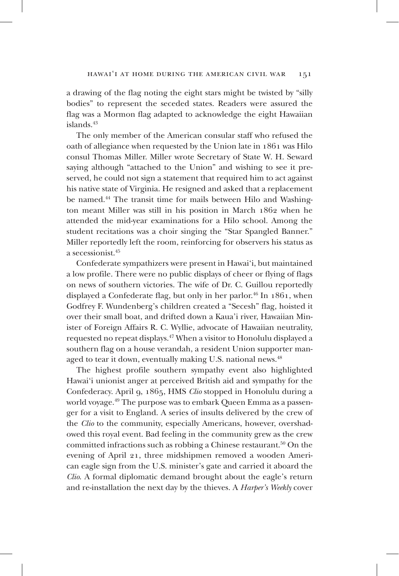a drawing of the flag noting the eight stars might be twisted by "silly bodies" to represent the seceded states. Readers were assured the flag was a Mormon flag adapted to acknowledge the eight Hawaiian  $is$ lands. $43$ 

The only member of the American consular staff who refused the oath of allegiance when requested by the Union late in 1861 was Hilo consul Thomas Miller. Miller wrote Secretary of State W. H. Seward saying although "attached to the Union" and wishing to see it preserved, he could not sign a statement that required him to act against his native state of Virginia. He resigned and asked that a replacement be named.<sup>44</sup> The transit time for mails between Hilo and Washington meant Miller was still in his position in March 1862 when he attended the mid-year examinations for a Hilo school. Among the student recitations was a choir singing the "Star Spangled Banner." Miller reportedly left the room, reinforcing for observers his status as a secessionist.45

Confederate sympathizers were present in Hawai'i, but maintained a low profile. There were no public displays of cheer or flying of flags on news of southern victories. The wife of Dr. C. Guillou reportedly displayed a Confederate flag, but only in her parlor.<sup>46</sup> In  $1861$ , when Godfrey F. Wundenberg's children created a "Secesh" flag, hoisted it over their small boat, and drifted down a Kaua'i river, Hawaiian Minister of Foreign Affairs R. C. Wyllie, advocate of Hawaiian neutrality, requested no repeat displays.47 When a visitor to Honolulu displayed a southern flag on a house verandah, a resident Union supporter managed to tear it down, eventually making U.S. national news.<sup>48</sup>

The highest profile southern sympathy event also highlighted Hawai'i unionist anger at perceived British aid and sympathy for the Confederacy. April 9, 1865, HMS *Clio* stopped in Honolulu during a world voyage.49 The purpose was to embark Queen Emma as a passenger for a visit to England. A series of insults delivered by the crew of the *Clio* to the community, especially Americans, however, overshadowed this royal event. Bad feeling in the community grew as the crew committed infractions such as robbing a Chinese restaurant.<sup>50</sup> On the evening of April 21, three midshipmen removed a wooden American eagle sign from the U.S. minister's gate and carried it aboard the *Clio*. A formal diplomatic demand brought about the eagle's return and re-installation the next day by the thieves. A *Harper's Weekly* cover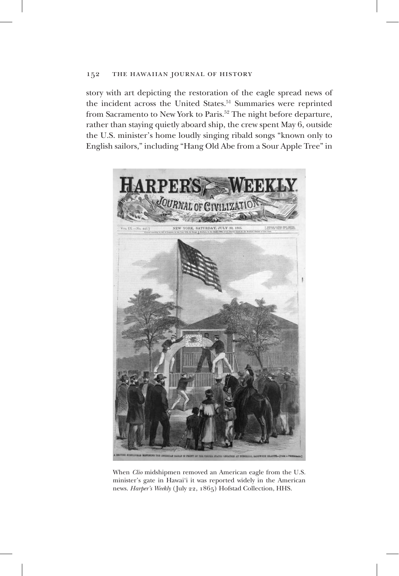story with art depicting the restoration of the eagle spread news of the incident across the United States.<sup>51</sup> Summaries were reprinted from Sacramento to New York to Paris.<sup>52</sup> The night before departure, rather than staying quietly aboard ship, the crew spent May 6, outside the U.S. minister's home loudly singing ribald songs "known only to English sailors," including "Hang Old Abe from a Sour Apple Tree" in



When *Clio* midshipmen removed an American eagle from the U.S. minister's gate in Hawai'i it was reported widely in the American news. *Harper's Weekly* (July 22, 1865) Hofstad Collection, HHS.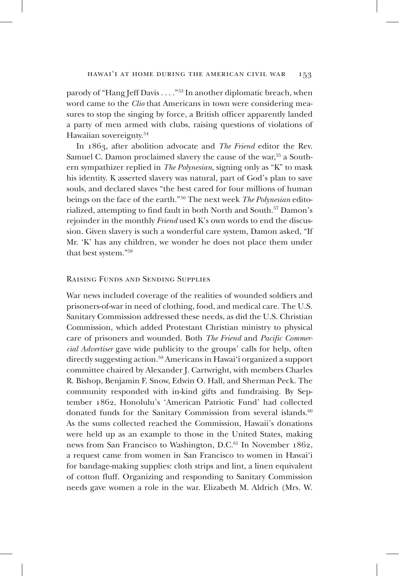parody of "Hang Jeff Davis . . . ."53 In another diplomatic breach, when word came to the *Clio* that Americans in town were considering measures to stop the singing by force, a British officer apparently landed a party of men armed with clubs, raising questions of violations of Hawaiian sovereignty.<sup>54</sup>

In 1863, after abolition advocate and *The Friend* editor the Rev. Samuel C. Damon proclaimed slavery the cause of the war,<sup>55</sup> a Southern sympathizer replied in *The Polynesian*, signing only as "K" to mask his identity. K asserted slavery was natural, part of God's plan to save souls, and declared slaves "the best cared for four millions of human beings on the face of the earth."56 The next week *The Polynesian* editorialized, attempting to find fault in both North and South.57 Damon's rejoinder in the monthly *Friend* used K's own words to end the discussion. Given slavery is such a wonderful care system, Damon asked, "If Mr. 'K' has any children, we wonder he does not place them under that best system."58

# Raising Funds and Sending Supplies

War news included coverage of the realities of wounded soldiers and prisoners-of-war in need of clothing, food, and medical care. The U.S. Sanitary Commission addressed these needs, as did the U.S. Christian Commission, which added Protestant Christian ministry to physical care of prisoners and wounded. Both *The Friend* and *Pacific Commercial Advertiser* gave wide publicity to the groups' calls for help, often directly suggesting action.59 Americans in Hawai'i organized a support committee chaired by Alexander J. Cartwright, with members Charles R. Bishop, Benjamin F. Snow, Edwin O. Hall, and Sherman Peck. The community responded with in-kind gifts and fundraising. By September 1862, Honolulu's 'American Patriotic Fund' had collected donated funds for the Sanitary Commission from several islands.<sup>60</sup> As the sums collected reached the Commission, Hawaii's donations were held up as an example to those in the United States, making news from San Francisco to Washington, D.C.<sup>61</sup> In November 1862, a request came from women in San Francisco to women in Hawai'i for bandage-making supplies: cloth strips and lint, a linen equivalent of cotton fluff. Organizing and responding to Sanitary Commission needs gave women a role in the war. Elizabeth M. Aldrich (Mrs. W.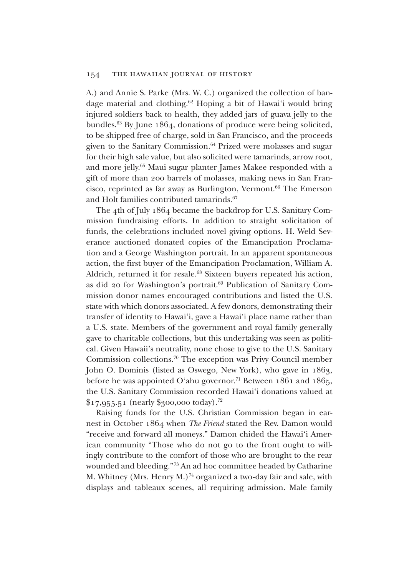A.) and Annie S. Parke (Mrs. W. C.) organized the collection of bandage material and clothing.62 Hoping a bit of Hawai'i would bring injured soldiers back to health, they added jars of guava jelly to the bundles.63 By June 1864, donations of produce were being solicited, to be shipped free of charge, sold in San Francisco, and the proceeds given to the Sanitary Commission.<sup>64</sup> Prized were molasses and sugar for their high sale value, but also solicited were tamarinds, arrow root, and more jelly.65 Maui sugar planter James Makee responded with a gift of more than 200 barrels of molasses, making news in San Francisco, reprinted as far away as Burlington, Vermont.66 The Emerson and Holt families contributed tamarinds.<sup>67</sup>

The 4th of July 1864 became the backdrop for U.S. Sanitary Commission fundraising efforts. In addition to straight solicitation of funds, the celebrations included novel giving options. H. Weld Severance auctioned donated copies of the Emancipation Proclamation and a George Washington portrait. In an apparent spontaneous action, the first buyer of the Emancipation Proclamation, William A. Aldrich, returned it for resale.<sup>68</sup> Sixteen buyers repeated his action, as did 20 for Washington's portrait.<sup>69</sup> Publication of Sanitary Commission donor names encouraged contributions and listed the U.S. state with which donors associated. A few donors, demonstrating their transfer of identity to Hawai'i, gave a Hawai'i place name rather than a U.S. state. Members of the government and royal family generally gave to charitable collections, but this undertaking was seen as political. Given Hawaii's neutrality, none chose to give to the U.S. Sanitary Commission collections.70 The exception was Privy Council member John O. Dominis (listed as Oswego, New York), who gave in 1863, before he was appointed O'ahu governor.<sup>71</sup> Between 1861 and 1865, the U.S. Sanitary Commission recorded Hawai'i donations valued at  $$17,955.51$  (nearly \$300,000 today).<sup>72</sup>

Raising funds for the U.S. Christian Commission began in earnest in October 1864 when *The Friend* stated the Rev. Damon would "receive and forward all moneys." Damon chided the Hawai'i American community "Those who do not go to the front ought to willingly contribute to the comfort of those who are brought to the rear wounded and bleeding."73 An ad hoc committee headed by Catharine M. Whitney (Mrs. Henry M.)<sup>74</sup> organized a two-day fair and sale, with displays and tableaux scenes, all requiring admission. Male family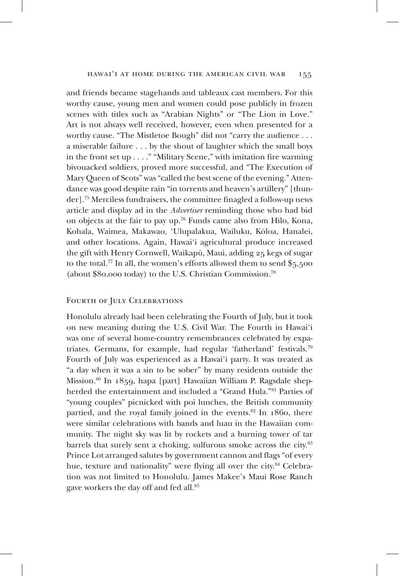### hawai'i at home during the american civil war 155

and friends became stagehands and tableaux cast members. For this worthy cause, young men and women could pose publicly in frozen scenes with titles such as "Arabian Nights" or "The Lion in Love." Art is not always well received, however, even when presented for a worthy cause. "The Mistletoe Bough" did not "carry the audience . . . a miserable failure . . . by the shout of laughter which the small boys in the front set up  $\dots$ ." "Military Scene," with imitation fire warming bivouacked soldiers, proved more successful, and "The Execution of Mary Queen of Scots" was "called the best scene of the evening." Attendance was good despite rain "in torrents and heaven's artillery" [thunder].75 Merciless fundraisers, the committee finagled a follow-up news article and display ad in the *Advertiser* reminding those who had bid on objects at the fair to pay up.76 Funds came also from Hilo, Kona, Kohala, Waimea, Makawao, 'Ulupalakua, Wailuku, Kōloa, Hanalei, and other locations. Again, Hawai'i agricultural produce increased the gift with Henry Cornwell, Waikapū, Maui, adding 25 kegs of sugar to the total.<sup>77</sup> In all, the women's efforts allowed them to send  $\frac{1}{2}5,500$ (about \$80,000 today) to the U.S. Christian Commission.78

# FOURTH OF JULY CELEBRATIONS

Honolulu already had been celebrating the Fourth of July, but it took on new meaning during the U.S. Civil War. The Fourth in Hawai'i was one of several home-country remembrances celebrated by expatriates. Germans, for example, had regular 'fatherland' festivals.79 Fourth of July was experienced as a Hawai'i party. It was treated as "a day when it was a sin to be sober" by many residents outside the Mission.80 In 1859, hapa [part] Hawaiian William P. Ragsdale shepherded the entertainment and included a "Grand Hula."81 Parties of "young couples" picnicked with poi lunches, the British community partied, and the royal family joined in the events. $82$  In 1860, there were similar celebrations with bands and luau in the Hawaiian community. The night sky was lit by rockets and a burning tower of tar barrels that surely sent a choking, sulfurous smoke across the city.<sup>83</sup> Prince Lot arranged salutes by government cannon and flags "of every hue, texture and nationality" were flying all over the city.<sup>84</sup> Celebration was not limited to Honolulu. James Makee's Maui Rose Ranch gave workers the day off and fed all.85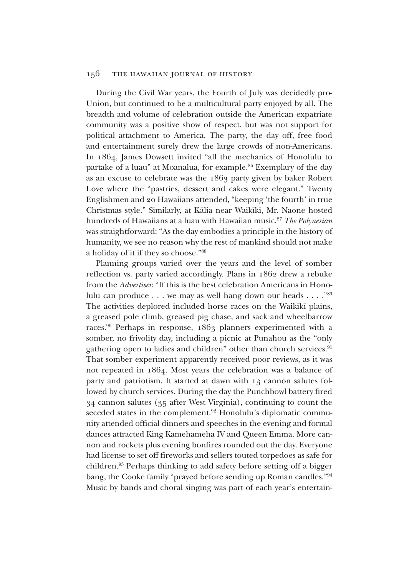During the Civil War years, the Fourth of July was decidedly pro-Union, but continued to be a multicultural party enjoyed by all. The breadth and volume of celebration outside the American expatriate community was a positive show of respect, but was not support for political attachment to America. The party, the day off, free food and entertainment surely drew the large crowds of non-Americans. In 1864, James Dowsett invited "all the mechanics of Honolulu to partake of a luau" at Moanalua, for example.<sup>86</sup> Exemplary of the day as an excuse to celebrate was the 1863 party given by baker Robert Love where the "pastries, dessert and cakes were elegant." Twenty Englishmen and 20 Hawaiians attended, "keeping 'the fourth' in true Christmas style." Similarly, at Kālia near Waikīkī, Mr. Naone hosted hundreds of Hawaiians at a luau with Hawaiian music.87 *The Polynesian* was straightforward: "As the day embodies a principle in the history of humanity, we see no reason why the rest of mankind should not make a holiday of it if they so choose."88

Planning groups varied over the years and the level of somber reflection vs. party varied accordingly. Plans in 1862 drew a rebuke from the *Advertiser*: "If this is the best celebration Americans in Honolulu can produce  $\dots$  we may as well hang down our heads  $\dots$ ."<sup>89</sup> The activities deplored included horse races on the Waikīkī plains, a greased pole climb, greased pig chase, and sack and wheelbarrow races.90 Perhaps in response, 1863 planners experimented with a somber, no frivolity day, including a picnic at Punahou as the "only gathering open to ladies and children" other than church services.<sup>91</sup> That somber experiment apparently received poor reviews, as it was not repeated in 1864. Most years the celebration was a balance of party and patriotism. It started at dawn with 13 cannon salutes followed by church services. During the day the Punchbowl battery fired 34 cannon salutes (35 after West Virginia), continuing to count the seceded states in the complement.<sup>92</sup> Honolulu's diplomatic community attended official dinners and speeches in the evening and formal dances attracted King Kamehameha IV and Queen Emma. More cannon and rockets plus evening bonfires rounded out the day. Everyone had license to set off fireworks and sellers touted torpedoes as safe for children.93 Perhaps thinking to add safety before setting off a bigger bang, the Cooke family "prayed before sending up Roman candles."94 Music by bands and choral singing was part of each year's entertain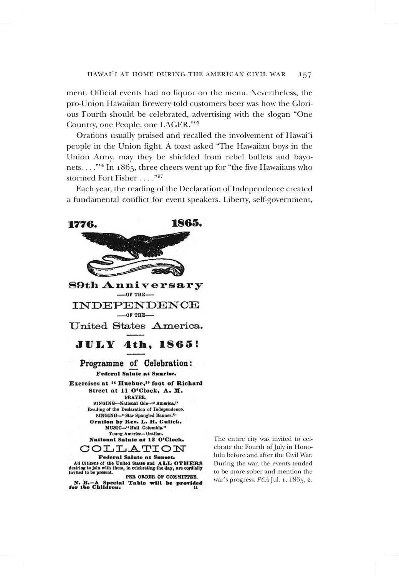ment. Official events had no liquor on the menu. Nevertheless, the pro-Union Hawaiian Brewery told customers beer was how the Glorious Fourth should be celebrated, advertising with the slogan "One Country, one People, one LAGER."95

Orations usually praised and recalled the involvement of Hawai'i people in the Union fight. A toast asked "The Hawaiian boys in the Union Army, may they be shielded from rebel bullets and bayonets. . . ."96 In 1865, three cheers went up for "the five Hawaiians who stormed Fort Fisher . . . ."97

Each year, the reading of the Declaration of Independence created a fundamental conflict for event speakers. Liberty, self-government,



The entire city was invited to celebrate the Fourth of July in Honolulu before and after the Civil War. During the war, the events tended to be more sober and mention the war's progress. *PCA* Jul. 1, 1865, 2.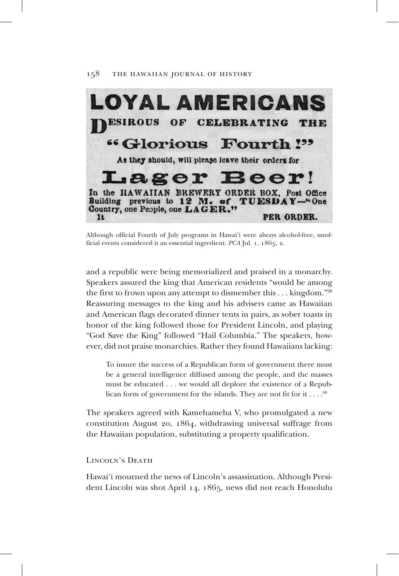

Although official Fourth of July programs in Hawai'i were always alcohol-free, unofficial events considered it an essential ingredient. *PCA* Jul. 1, 1865, 2.

and a republic were being memorialized and praised in a monarchy. Speakers assured the king that American residents "would be among the first to frown upon any attempt to dismember this  $\dots$  kingdom."<sup>98</sup> Reassuring messages to the king and his advisers came as Hawaiian and American flags decorated dinner tents in pairs, as sober toasts in honor of the king followed those for President Lincoln, and playing "God Save the King" followed "Hail Columbia." The speakers, however, did not praise monarchies. Rather they found Hawaiians lacking:

To insure the success of a Republican form of government there must be a general intelligence diffused among the people, and the masses must be educated . . . we would all deplore the existence of a Republican form of government for the islands. They are not fit for it  $\dots$ . <sup>99</sup>

The speakers agreed with Kamehameha V, who promulgated a new constitution August 20, 1864, withdrawing universal suffrage from the Hawaiian population, substituting a property qualification.

LINCOLN'S DEATH

Hawai'i mourned the news of Lincoln's assassination. Although President Lincoln was shot April 14, 1865, news did not reach Honolulu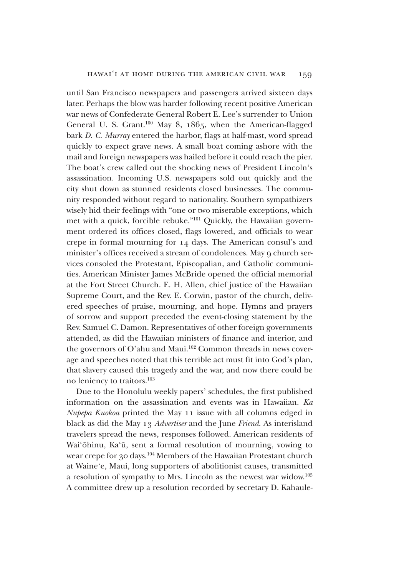### hawai'i at home during the american civil war 159

until San Francisco newspapers and passengers arrived sixteen days later. Perhaps the blow was harder following recent positive American war news of Confederate General Robert E. Lee's surrender to Union General U. S. Grant.100 May 8, 1865, when the American-flagged bark *D. C. Murray* entered the harbor, flags at half-mast, word spread quickly to expect grave news. A small boat coming ashore with the mail and foreign newspapers was hailed before it could reach the pier. The boat's crew called out the shocking news of President Lincoln's assassination. Incoming U.S. newspapers sold out quickly and the city shut down as stunned residents closed businesses. The community responded without regard to nationality. Southern sympathizers wisely hid their feelings with "one or two miserable exceptions, which met with a quick, forcible rebuke."101 Quickly, the Hawaiian government ordered its offices closed, flags lowered, and officials to wear crepe in formal mourning for 14 days. The American consul's and minister's offices received a stream of condolences. May 9 church services consoled the Protestant, Episcopalian, and Catholic communities. American Minister James McBride opened the official memorial at the Fort Street Church. E. H. Allen, chief justice of the Hawaiian Supreme Court, and the Rev. E. Corwin, pastor of the church, delivered speeches of praise, mourning, and hope. Hymns and prayers of sorrow and support preceded the event-closing statement by the Rev. Samuel C. Damon. Representatives of other foreign governments attended, as did the Hawaiian ministers of finance and interior, and the governors of O'ahu and Maui.<sup>102</sup> Common threads in news coverage and speeches noted that this terrible act must fit into God's plan, that slavery caused this tragedy and the war, and now there could be no leniency to traitors.103

Due to the Honolulu weekly papers' schedules, the first published information on the assassination and events was in Hawaiian. *Ka Nupepa Kuokoa* printed the May 11 issue with all columns edged in black as did the May 13 *Advertiser* and the June *Friend*. As interisland travelers spread the news, responses followed. American residents of Wai'ōhinu, Ka'ū, sent a formal resolution of mourning, vowing to wear crepe for 30 days.104 Members of the Hawaiian Protestant church at Waine'e, Maui, long supporters of abolitionist causes, transmitted a resolution of sympathy to Mrs. Lincoln as the newest war widow.<sup>105</sup> A committee drew up a resolution recorded by secretary D. Kahaule-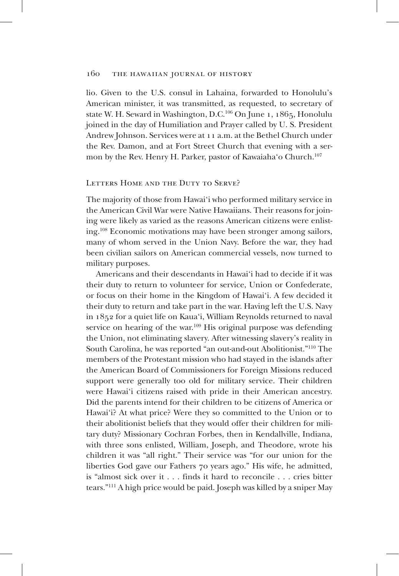lio. Given to the U.S. consul in Lahaina, forwarded to Honolulu's American minister, it was transmitted, as requested, to secretary of state W. H. Seward in Washington, D.C.<sup>106</sup> On June 1, 1865, Honolulu joined in the day of Humiliation and Prayer called by U. S. President Andrew Johnson. Services were at 11 a.m. at the Bethel Church under the Rev. Damon, and at Fort Street Church that evening with a sermon by the Rev. Henry H. Parker, pastor of Kawaiaha'o Church.<sup>107</sup>

## LETTERS HOME AND THE DUTY TO SERVE?

The majority of those from Hawai'i who performed military service in the American Civil War were Native Hawaiians. Their reasons for joining were likely as varied as the reasons American citizens were enlisting.108 Economic motivations may have been stronger among sailors, many of whom served in the Union Navy. Before the war, they had been civilian sailors on American commercial vessels, now turned to military purposes.

Americans and their descendants in Hawai'i had to decide if it was their duty to return to volunteer for service, Union or Confederate, or focus on their home in the Kingdom of Hawai'i. A few decided it their duty to return and take part in the war. Having left the U.S. Navy in 1852 for a quiet life on Kaua'i, William Reynolds returned to naval service on hearing of the war.<sup>109</sup> His original purpose was defending the Union, not eliminating slavery. After witnessing slavery's reality in South Carolina, he was reported "an out-and-out Abolitionist."110 The members of the Protestant mission who had stayed in the islands after the American Board of Commissioners for Foreign Missions reduced support were generally too old for military service. Their children were Hawai'i citizens raised with pride in their American ancestry. Did the parents intend for their children to be citizens of America or Hawai'i? At what price? Were they so committed to the Union or to their abolitionist beliefs that they would offer their children for military duty? Missionary Cochran Forbes, then in Kendallville, Indiana, with three sons enlisted, William, Joseph, and Theodore, wrote his children it was "all right." Their service was "for our union for the liberties God gave our Fathers 70 years ago." His wife, he admitted, is "almost sick over it . . . finds it hard to reconcile . . . cries bitter tears."111 A high price would be paid. Joseph was killed by a sniper May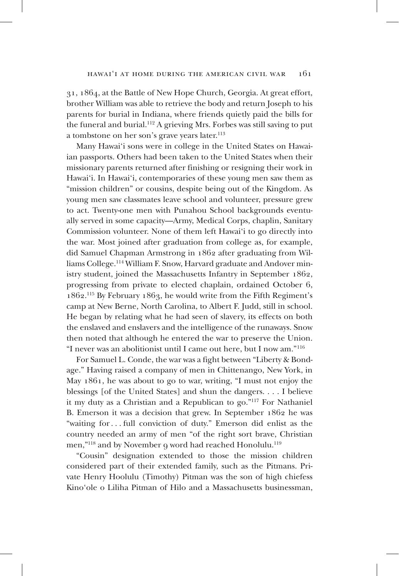31, 1864, at the Battle of New Hope Church, Georgia. At great effort, brother William was able to retrieve the body and return Joseph to his parents for burial in Indiana, where friends quietly paid the bills for the funeral and burial.112 A grieving Mrs. Forbes was still saving to put a tombstone on her son's grave years later.<sup>113</sup>

Many Hawai'i sons were in college in the United States on Hawaiian passports. Others had been taken to the United States when their missionary parents returned after finishing or resigning their work in Hawai'i. In Hawai'i, contemporaries of these young men saw them as "mission children" or cousins, despite being out of the Kingdom. As young men saw classmates leave school and volunteer, pressure grew to act. Twenty-one men with Punahou School backgrounds eventually served in some capacity—Army, Medical Corps, chaplin, Sanitary Commission volunteer. None of them left Hawai'i to go directly into the war. Most joined after graduation from college as, for example, did Samuel Chapman Armstrong in 1862 after graduating from Williams College.114 William F. Snow, Harvard graduate and Andover ministry student, joined the Massachusetts Infantry in September 1862, progressing from private to elected chaplain, ordained October 6, 1862. 115 By February 1863, he would write from the Fifth Regiment's camp at New Berne, North Carolina, to Albert F. Judd, still in school. He began by relating what he had seen of slavery, its effects on both the enslaved and enslavers and the intelligence of the runaways. Snow then noted that although he entered the war to preserve the Union. "I never was an abolitionist until I came out here, but I now am."116

For Samuel L. Conde, the war was a fight between "Liberty & Bondage." Having raised a company of men in Chittenango, New York, in May 1861, he was about to go to war, writing, "I must not enjoy the blessings [of the United States] and shun the dangers. . . . I believe it my duty as a Christian and a Republican to go."117 For Nathaniel B. Emerson it was a decision that grew. In September 1862 he was "waiting for . . . full conviction of duty." Emerson did enlist as the country needed an army of men "of the right sort brave, Christian men,"<sup>118</sup> and by November 9 word had reached Honolulu.<sup>119</sup>

"Cousin" designation extended to those the mission children considered part of their extended family, such as the Pitmans. Private Henry Hoolulu (Timothy) Pitman was the son of high chiefess Kino'ole o Liliha Pitman of Hilo and a Massachusetts businessman,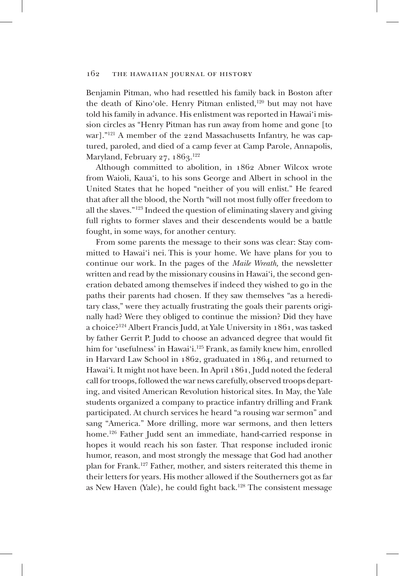Benjamin Pitman, who had resettled his family back in Boston after the death of Kino'ole. Henry Pitman enlisted,<sup>120</sup> but may not have told his family in advance. His enlistment was reported in Hawai'i mission circles as "Henry Pitman has run away from home and gone [to war]."<sup>121</sup> A member of the 22nd Massachusetts Infantry, he was captured, paroled, and died of a camp fever at Camp Parole, Annapolis, Maryland, February 27, 1863.<sup>122</sup>

Although committed to abolition, in 1862 Abner Wilcox wrote from Waioli, Kaua'i, to his sons George and Albert in school in the United States that he hoped "neither of you will enlist." He feared that after all the blood, the North "will not most fully offer freedom to all the slaves."123 Indeed the question of eliminating slavery and giving full rights to former slaves and their descendents would be a battle fought, in some ways, for another century.

From some parents the message to their sons was clear: Stay committed to Hawai'i nei. This is your home. We have plans for you to continue our work. In the pages of the *Maile Wreath,* the newsletter written and read by the missionary cousins in Hawai'i*,* the second generation debated among themselves if indeed they wished to go in the paths their parents had chosen. If they saw themselves "as a hereditary class," were they actually frustrating the goals their parents originally had? Were they obliged to continue the mission? Did they have a choice?124 Albert Francis Judd, at Yale University in 1861, was tasked by father Gerrit P. Judd to choose an advanced degree that would fit him for 'usefulness' in Hawai'i.<sup>125</sup> Frank, as family knew him, enrolled in Harvard Law School in 1862, graduated in 1864, and returned to Hawai'i. It might not have been. In April 1861, Judd noted the federal call for troops, followed the war news carefully, observed troops departing, and visited American Revolution historical sites. In May, the Yale students organized a company to practice infantry drilling and Frank participated. At church services he heard "a rousing war sermon" and sang "America." More drilling, more war sermons, and then letters home.126 Father Judd sent an immediate, hand-carried response in hopes it would reach his son faster. That response included ironic humor, reason, and most strongly the message that God had another plan for Frank.127 Father, mother, and sisters reiterated this theme in their letters for years. His mother allowed if the Southerners got as far as New Haven (Yale), he could fight back.<sup>128</sup> The consistent message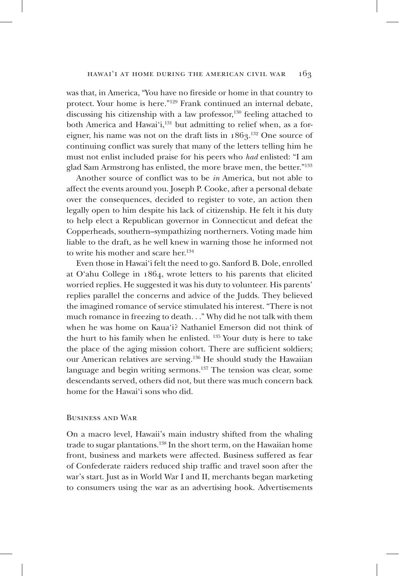was that, in America, "You have no fireside or home in that country to protect. Your home is here."129 Frank continued an internal debate, discussing his citizenship with a law professor, $130$  feeling attached to both America and Hawai'i, $131$  but admitting to relief when, as a foreigner, his name was not on the draft lists in  $1863$ .<sup>132</sup> One source of continuing conflict was surely that many of the letters telling him he must not enlist included praise for his peers who *had* enlisted: "I am glad Sam Armstrong has enlisted, the more brave men, the better."133

Another source of conflict was to be *in* America, but not able to affect the events around you. Joseph P. Cooke, after a personal debate over the consequences, decided to register to vote, an action then legally open to him despite his lack of citizenship. He felt it his duty to help elect a Republican governor in Connecticut and defeat the Copperheads, southern–sympathizing northerners. Voting made him liable to the draft, as he well knew in warning those he informed not to write his mother and scare her.<sup>134</sup>

Even those in Hawai'i felt the need to go. Sanford B. Dole, enrolled at O'ahu College in 1864, wrote letters to his parents that elicited worried replies. He suggested it was his duty to volunteer. His parents' replies parallel the concerns and advice of the Judds. They believed the imagined romance of service stimulated his interest. "There is not much romance in freezing to death. . ." Why did he not talk with them when he was home on Kaua'i? Nathaniel Emerson did not think of the hurt to his family when he enlisted. 135 Your duty is here to take the place of the aging mission cohort. There are sufficient soldiers; our American relatives are serving.136 He should study the Hawaiian language and begin writing sermons.<sup>137</sup> The tension was clear, some descendants served, others did not, but there was much concern back home for the Hawai'i sons who did.

## Business and War

On a macro level, Hawaii's main industry shifted from the whaling trade to sugar plantations.<sup>138</sup> In the short term, on the Hawaiian home front, business and markets were affected. Business suffered as fear of Confederate raiders reduced ship traffic and travel soon after the war's start. Just as in World War I and II, merchants began marketing to consumers using the war as an advertising hook. Advertisements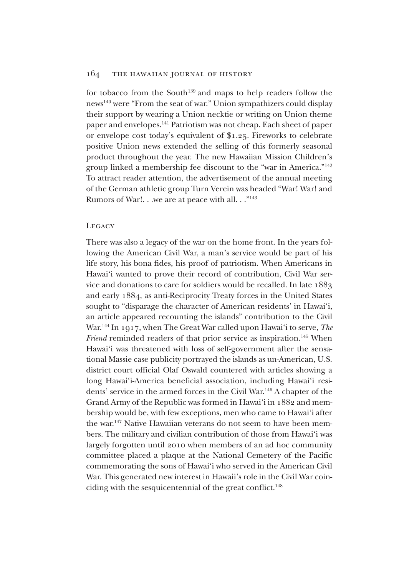for tobacco from the South<sup>139</sup> and maps to help readers follow the news140 were "From the seat of war." Union sympathizers could display their support by wearing a Union necktie or writing on Union theme paper and envelopes.141 Patriotism was not cheap. Each sheet of paper or envelope cost today's equivalent of \$1.25. Fireworks to celebrate positive Union news extended the selling of this formerly seasonal product throughout the year. The new Hawaiian Mission Children's group linked a membership fee discount to the "war in America."142 To attract reader attention, the advertisement of the annual meeting of the German athletic group Turn Verein was headed "War! War! and Rumors of War!. . .we are at peace with all. . ."143

## LEGACY

There was also a legacy of the war on the home front. In the years following the American Civil War, a man's service would be part of his life story, his bona fides, his proof of patriotism. When Americans in Hawai'i wanted to prove their record of contribution, Civil War service and donations to care for soldiers would be recalled. In late 1883 and early 1884, as anti-Reciprocity Treaty forces in the United States sought to "disparage the character of American residents' in Hawai'i, an article appeared recounting the islands" contribution to the Civil War.144 In 1917, when The Great War called upon Hawai'i to serve, *The Friend* reminded readers of that prior service as inspiration.<sup>145</sup> When Hawai'i was threatened with loss of self-government after the sensational Massie case publicity portrayed the islands as un-American, U.S. district court official Olaf Oswald countered with articles showing a long Hawai'i-America beneficial association, including Hawai'i residents' service in the armed forces in the Civil War.146 A chapter of the Grand Army of the Republic was formed in Hawai'i in 1882 and membership would be, with few exceptions, men who came to Hawai'i after the war.147 Native Hawaiian veterans do not seem to have been members. The military and civilian contribution of those from Hawai'i was largely forgotten until 2010 when members of an ad hoc community committee placed a plaque at the National Cemetery of the Pacific commemorating the sons of Hawai'i who served in the American Civil War. This generated new interest in Hawaii's role in the Civil War coinciding with the sesquicentennial of the great conflict.<sup>148</sup>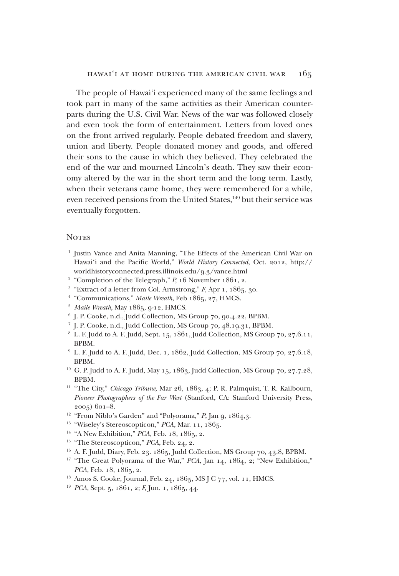The people of Hawai'i experienced many of the same feelings and took part in many of the same activities as their American counterparts during the U.S. Civil War. News of the war was followed closely and even took the form of entertainment. Letters from loved ones on the front arrived regularly. People debated freedom and slavery, union and liberty. People donated money and goods, and offered their sons to the cause in which they believed. They celebrated the end of the war and mourned Lincoln's death. They saw their economy altered by the war in the short term and the long term. Lastly, when their veterans came home, they were remembered for a while, even received pensions from the United States,<sup>149</sup> but their service was eventually forgotten.

### **NOTES**

- <sup>1</sup> Justin Vance and Anita Manning, "The Effects of the American Civil War on Hawai'i and the Pacific World," *World History Connected,* Oct. 2012, http:// worldhistoryconnected.press.illinois.edu/9.3/vance.html 2
- <sup>2</sup> "Completion of the Telegraph," *P*, 16 November 1861, 2.
- <sup>3</sup> "Extract of a letter from Col. Armstrong," *F*, Apr 1, 1865, 30.
- <sup>4</sup> "Communications," Maile Wreath, Feb 1865, 27, HMCS.
- 5 *Maile Wreath*, May 1865, 9-12, HMCS.
- 6 J. P. Cooke, n.d., Judd Collection, MS Group 70, 90.4.22, BPBM.
- 7 J. P. Cooke, n.d., Judd Collection, MS Group 70, 48.19.31, BPBM.
- 8 L. F. Judd to A. F. Judd, Sept. 15, 1861, Judd Collection, MS Group 70, 27.6.11, BPBM.
- <sup>9</sup> L. F. Judd to A. F. Judd, Dec. 1, 1862, Judd Collection, MS Group 70, 27.6.18, BPBM.
- <sup>10</sup> G. P. Judd to A. F. Judd, May 15, 1863, Judd Collection, MS Group 70, 27.7.28, BPBM.
- <sup>11</sup> "The City," *Chicago Tribune*, Mar 26, 1863, 4; P. R. Palmquist, T. R. Kailbourn, *Pioneer Photographers of the Far West* (Stanford, CA: Stanford University Press, <sup>2005</sup>) 601–8. 12 "From Niblo's Garden" and "Polyorama," *P*, Jan 9, 1864,3.
- 
- 13 "Wiseley's Stereoscopticon," *PCA*, Mar. 11, 1865.
- <sup>14</sup> "A New Exhibition," *PCA*, Feb. 18, 1865, 2.
- <sup>15</sup> "The Stereoscopticon," *PCA*, Feb. 24, 2.
- <sup>16</sup> A. F. Judd, Diary, Feb. 23. 1865, Judd Collection, MS Group 70, 43.8, BPBM.
- <sup>17</sup> "The Great Polyorama of the War," *PCA*, Jan 14, 1864, 2; "New Exhibition," *PCA*, Feb. 18, 1865, 2.
- 18 Amos S. Cooke, Journal, Feb. 24, 1865, MS J C 77, vol. 11, HMCS.
- 19 *PCA*, Sept. 5, 1861, 2; *F,* Jun. 1, 1865, 44.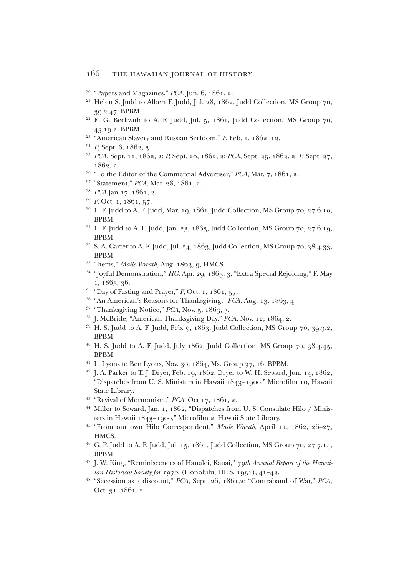- $20$  "Papers and Magazines," *PCA*, Jun. 6, 1861, 2.
- <sup>21</sup> Helen S. Judd to Albert F. Judd, Jul. 28, 1862, Judd Collection, MS Group 70, 39.2.47, BPBM.
- $22$  E. G. Beckwith to A. F. Judd, Jul. 5, 1861, Judd Collection, MS Group 70, 45.19.2, BPBM.
- <sup>23</sup> "American Slavery and Russian Serfdom," *F*, Feb. 1, 1862, 12.
- 24 *P*, Sept. 6, 1862, 3.
- 25 *PCA*, Sept. 11, 1862, 2; *P,* Sept. 20, 1862, 2; *PCA*, Sept. 25, 1862, 2; *P,* Sept. 27, 1862, 2.
- 26 "To the Editor of the Commercial Advertiser," *PCA*, Mar. 7, 1861, 2.
- 27 "Statement," *PCA*, Mar. 28, 1861, 2.
- 28 *PCA* Jan 17, 1861, 2.
- 29 *F*, Oct. 1, 1861, 57.
- <sup>30</sup> L. F. Judd to A. F. Judd, Mar. 19, 1861, Judd Collection, MS Group 70, 27.6.10, BPBM.
- $31$  L. F. Judd to A. F. Judd, Jan. 23, 1863, Judd Collection, MS Group 70, 27.6.19, BPBM.
- $32$  S. A. Carter to A. F. Judd, Jul. 24, 1863, Judd Collection, MS Group 70, 38.4.33, BPBM.
- <sup>33</sup> "Items," Maile Wreath, Aug. 1863, 9, HMCS.
- 34 "Joyful Demonstration," *HG*, Apr. 29, 1865, 3; "Extra Special Rejoicing," F, May 1, 1865, 36.
- 35 "Day of Fasting and Prayer," *F*, Oct. 1, 1861, 57.
- 36 "An American's Reasons for Thanksgiving," *PCA*, Aug. 13, 1863, 4
- <sup>37</sup> "Thanksgiving Notice," *PCA*, Nov. 5, 1863, 3.
- <sup>38</sup> J. McBride, "American Thanksgiving Day," *PCA*, Nov. 12, 1864, 2.
- $39$  H. S. Judd to A. F. Judd, Feb. 9, 1863, Judd Collection, MS Group 70, 39.3.2, BPBM.
- $40$  H. S. Judd to A. F. Judd, July 1862, Judd Collection, MS Group 70,  $38.4.45$ , BPBM.
- <sup>41</sup> L. Lyons to Ben Lyons, Nov. 30, 1864, Ms. Group  $37, 16$ , BPBM.
- 42 J. A. Parker to T. J. Dryer, Feb. 19, 1862; Dryer to W. H. Seward, Jun. 14, 1862, "Dispatches from U. S. Ministers in Hawaii 1843–1900," Microfilm 10, Hawaii State Library.
- <sup>43</sup> "Revival of Mormonism," *PCA*, Oct 17, 1861, 2.
- <sup>44</sup> Miller to Seward, Jan. 1, 1862, "Dispatches from U.S. Consulate Hilo / Ministers in Hawaii 1843–1900," Microfilm 2, Hawaii State Library.
- 45 "From our own Hilo Correspondent," *Maile Wreath*, April 11, 1862, 26–27, HMCS.
- 46 G. P. Judd to A. F. Judd, Jul. 15, 1861, Judd Collection, MS Group 70, 27.7.14, BPBM.
- 47 J. W. King, "Reminiscences of Hanalei, Kauai," *39th Annual Report of the Hawaiian Historical Society for 1930*, (Honolulu, HHS, 1931), 41–42.
- 48 "Secession as a discount," *PCA*, Sept. 26, 1861,2; "Contraband of War," *PCA,* Oct. 31, 1861, 2.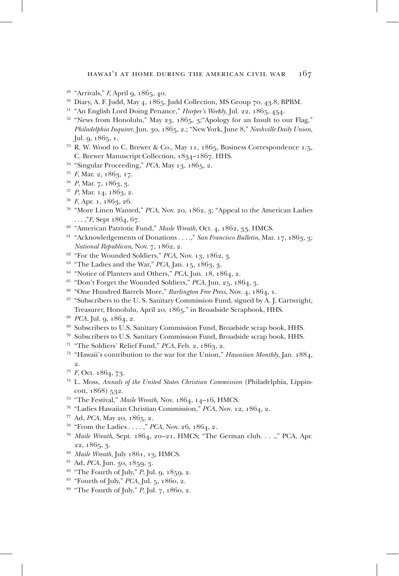- 49 "Arrivals," *F,* April 9, 1865, 40.
- <sup>50</sup> Diary, A. F. Judd, May 4, 1865, Judd Collection, MS Group 70, 43.8, BPBM.
- 51 "An English Lord Doing Penance," *Harper's Weekly*, Jul. 22, 1865, 454.
- <sup>52</sup> "News from Honolulu," May 23, 1865, 3;"Apology for an Insult to our Flag," *Philadelphia Inquirer*, Jun. 30, 1865, 2.; "New York, June 8," *Nashville Daily Union,* Jul. 9, 1865, 1.
- <sup>53</sup> R. W. Wood to C. Brewer & Co., May 11, 1865, Business Correspondence 1:5, C. Brewer Manuscript Collection, 1834–1867. HHS.
- 54 "Singular Proceeding," *PCA*, May 13, 1865, 2.
- 55 *F*, Mar. 2, 1863, 17.
- <sup>56</sup> *P*, Mar. 7, 1863, 3.
- <sup>57</sup> *P*, Mar. 14, 1863, 2.
- <sup>58</sup> *F*, Apr. 1, 1863, 26.
- <sup>59</sup> "More Linen Wanted," *PCA*, Nov. 20, 1862, 3; "Appeal to the American Ladies . . . ,"*F*, Sept 1864, 67.
- 60 "American Patriotic Fund," *Maile Wreath*, Oct. 4, 1862, 33, HMCS.
- <sup>61</sup> "Acknowledgements of Donations . . . .," *San Francisco Bulletin*, Mar. 17, 1863, 3; *National Republican*, Nov. 7, 1862, 2.
- 62 "For the Wounded Soldiers," *PCA*, Nov. 13, 1862, 3.
- <sup>63</sup> "The Ladies and the War," *PCA*, Jan. 15, 1863, 3.
- 64 "Notice of Planters and Others," *PCA*, Jun. 18, 1864, 2.
- 65 "Don't Forget the Wounded Soldiers," *PCA*, Jun. 25, 1864, 3.
- <sup>66</sup> "One Hundred Barrels More," *Burlington Free Press*, Nov. 4, 1864, 1.
- <sup>67</sup> "Subscribers to the U.S. Sanitary Commission Fund, signed by A.J. Cartwright, Treasurer, Honolulu, April 20, 1865." in Broadside Scrapbook, HHS.
- 68 *PCA*, Jul. 9, 1864, 2.
- <sup>69</sup> Subscribers to U.S. Sanitary Commission Fund, Broadside scrap book, HHS.
- 70 Subscribers to U.S. Sanitary Commission Fund, Broadside scrap book, HHS.
- <sup>71</sup> "The Soldiers' Relief Fund," *PCA*, Feb. 2, 1863, 2.
- 72 "Hawaii's contribution to the war for the Union," *Hawaiian Monthly*, Jan. 1884, 2.
- 73 *F*, Oct. 1864, 73.
- 74 L. Moss, *Annals of the United States Christian Commission* (Philadelphia, Lippincott, 1868) 532.
- 75 "The Festival," *Maile Wreath*, Nov. 1864, 14–16, HMCS.
- 76 "Ladies Hawaiian Christian Commission," *PCA*, Nov. 12, 1864, 2.
- 
- 
- 77 Ad, *PCA*, May 20, 1865, 2. 78 "From the Ladies . . . . ," *PCA*, Nov. 26, 1864, 2. 79 *Maile Wreath*, Sept. 1864, 20–21, HMCS; "The German club. . . .," PCA, Apr. <sup>22</sup>, 1865, 3. 80 *Maile Wreath*, July 1861, 13, HMCS.
- 
- 81 Ad, *PCA*, Jun. 30, 1859, 3.
- 82 "The Fourth of July," *P*, Jul. 9, 1859, 2.
- 83 "Fourth of July," *PCA,* Jul. 5, 1860, 2.
- 84 "The Fourth of July," *P*, Jul. 7, 1860, 2.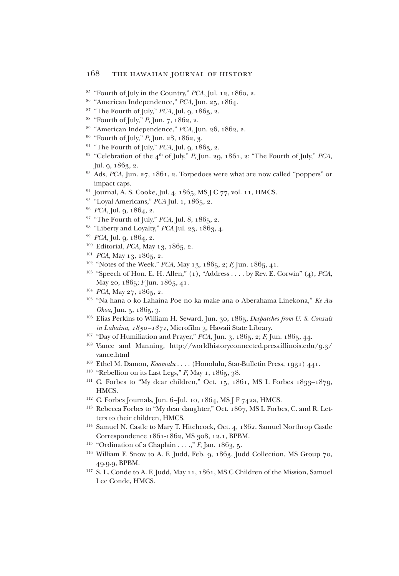- 85 "Fourth of July in the Country," *PCA,* Jul. 12, 1860, 2.
- 86 "American Independence," *PCA*, Jun. 25, 1864.
- 87 "The Fourth of July," *PCA,* Jul. 9, 1863, 2.
- 88 "Fourth of July," *P*, Jun. 7, 1862, 2.
- 89 "American Independence," *PCA,* Jun. 26, 1862, 2.
- 90 "Fourth of July," *P*, Jun. 28, 1862, 3.
- <sup>91</sup> "The Fourth of July," *PCA*, Jul. *q*, 1863, 2.
- <sup>92</sup> "Celebration of the 4<sup>th</sup> of July," *P*, Jun. 29, 1861, 2; "The Fourth of July," *PCA*, Jul. 9, 1863, 2.
- 93 Ads, *PCA*, Jun. 27, 1861, 2. Torpedoes were what are now called "poppers" or impact caps.
- <sup>94</sup> Journal, A. S. Cooke, Jul. 4, 1865, MS J C 77, vol. 11, HMCS.
- <sup>95</sup> "Loyal Americans," *PCA* Jul. 1, 1865, 2.
- 96 *PCA*, Jul. 9, 1864, 2.
- 97 "The Fourth of July," *PCA,* Jul. 8, 1865, 2.
- 98 "Liberty and Loyalty," *PCA* Jul. 23, 1863, 4.
- 99 *PCA*, Jul. 9, 1864, 2.
- <sup>100</sup> Editorial, *PCA*, May 13, 1865, 2.
- <sup>101</sup> *PCA*, May 13, 1865, 2.
- <sup>102</sup> "Notes of the Week," PCA, May 13, 1865, 2; *F*, Jun. 1865, 41.
- 103 "Speech of Hon. E. H. Allen," (1), "Address . . . . by Rev. E. Corwin" (4), *PCA*, May 20, 1865; *F* Jun. 1865, 41.
- 104 *PCA*, May 27, 1865, 2.
- 105 "Na hana o ko Lahaina Poe no ka make ana o Aberahama Linekona," *Ke Au Okoa*, Jun. 5, 1865, 3.
- 106 Elias Perkins to William H. Seward, Jun. 30, 1865, *Despatches from U. S. Consuls in Lahaina, 1850–1871*, Microfilm 3, Hawaii State Library.
- 107 "Day of Humiliation and Prayer," *PCA*, Jun. 3, 1865, 2; *F*, Jun. 1865, 44.
- <sup>108</sup> Vance and Manning, http://worldhistoryconnected.press.illinois.edu/9.3/ vance.html<br><sup>109</sup> Ethel M. Damon, *Koamalu* . . . . (Honolulu, Star-Bulletin Press, 1931) 441.
- 
- <sup>110</sup> "Rebellion on its Last Legs," *F*, May 1, 1865, 38.
- <sup>111</sup> C. Forbes to "My dear children," Oct. 15, 1861, MS L Forbes 1833-1879, HMCS.
- 112 C. Forbes Journals, Jun. 6–Jul. 10, 1864, MS J F 742a, HMCS.
- 113 Rebecca Forbes to "My dear daughter," Oct. 1867, MS L Forbes, C. and R. Letters to their children, HMCS.
- <sup>114</sup> Samuel N. Castle to Mary T. Hitchcock, Oct. 4, 1862, Samuel Northrop Castle Correspondence 1861-1862, MS 308, 12.1, BPBM.
- <sup>115</sup> "Ordination of a Chaplain . . . .," *F*, Jan. 1863, 5.
- 116 William F. Snow to A. F. Judd, Feb. 9, 1863, Judd Collection, MS Group 70, 49.9.9, BPBM.
- <sup>117</sup> S. L. Conde to A. F. Judd, May 11, 1861, MS C Children of the Mission, Samuel Lee Conde, HMCS.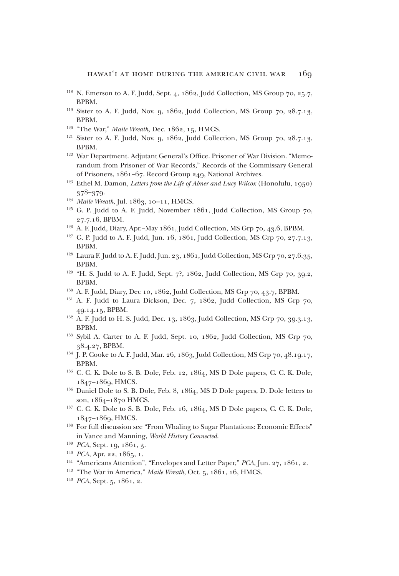- 118 N. Emerson to A. F. Judd, Sept. 4, 1862, Judd Collection, MS Group 70, 25.7, BPBM.
- <sup>119</sup> Sister to A. F. Judd, Nov.  $\alpha$ , 1862, Judd Collection, MS Group 70, 28.7.13, BPBM.
- 120 "The War," *Maile Wreath,* Dec. 1862, 15, HMCS.
- $121$  Sister to A. F. Judd, Nov. 9, 1862, Judd Collection, MS Group 70, 28.7.13, BPBM.
- <sup>122</sup> War Department. Adjutant General's Office. Prisoner of War Division. "Memorandum from Prisoner of War Records," Records of the Commissary General of Prisoners, 1861–67. Record Group 249, National Archives.
- <sup>123</sup> Ethel M. Damon, *Letters from the Life of Abner and Lucy Wilcox* (Honolulu, 1950) 378–379.
- <sup>124</sup> Maile Wreath, Jul. 1863, 10-11, HMCS.
- $125$  G. P. Judd to A. F. Judd, November 1861, Judd Collection, MS Group 70, 27.7.16, BPBM.
- <sup>126</sup> A. F. Judd, Diary, Apr.–May 1861, Judd Collection, MS Grp 70, 43.6, BPBM.
- 127 G. P. Judd to A. F. Judd, Jun. 16, 1861, Judd Collection, MS Grp 70, 27.7.13, BPBM.
- <sup>128</sup> Laura F. Judd to A. F. Judd, Jun. 23, 1861, Judd Collection, MS Grp 70, 27.6.35, BPBM.
- $129$  "H. S. Judd to A. F. Judd, Sept. 7?, 1862, Judd Collection, MS Grp 70, 30.2, BPBM.
- 130 A. F. Judd, Diary, Dec 10, 1862, Judd Collection, MS Grp 70, 43.7, BPBM.
- <sup>131</sup> A. F. Judd to Laura Dickson, Dec. 7, 1862, Judd Collection, MS Grp 70, 49.14.15, BPBM.
- <sup>132</sup> A. F. Judd to H. S. Judd, Dec. 13, 1863, Judd Collection, MS Grp 70, 39.3.13, BPBM.
- 133 Sybil A. Carter to A. F. Judd, Sept. 10, 1862, Judd Collection, MS Grp 70, 38.4.27, BPBM.
- <sup>134</sup> I. P. Cooke to A. F. Judd, Mar. 26, 1863, Judd Collection, MS Grp 70, 48.10.17, BPBM.
- 135 C. C. K. Dole to S. B. Dole, Feb. 12, 1864, MS D Dole papers, C. C. K. Dole, 1847–1869, HMCS.
- 136 Daniel Dole to S. B. Dole, Feb. 8, 1864, MS D Dole papers, D. Dole letters to son, 1864–1870 HMCS.
- $137$  C. C. K. Dole to S. B. Dole, Feb. 16, 1864, MS D Dole papers, C. C. K. Dole, 1847–1869, HMCS.
- <sup>138</sup> For full discussion see "From Whaling to Sugar Plantations: Economic Effects" in Vance and Manning, *World History Connected*. 139 *PCA*, Sept. 19, 1861, 3.
- 
- <sup>140</sup> *PCA*, Apr. 22, 1865, 1.
- 141 "Americans Attention", "Envelopes and Letter Paper," *PCA*, Jun. 27, 1861, 2.
- 142 "The War in America," *Maile Wreath*, Oct. 5, 1861, 16, HMCS.
- 143 *PCA*, Sept. 5, 1861, 2.